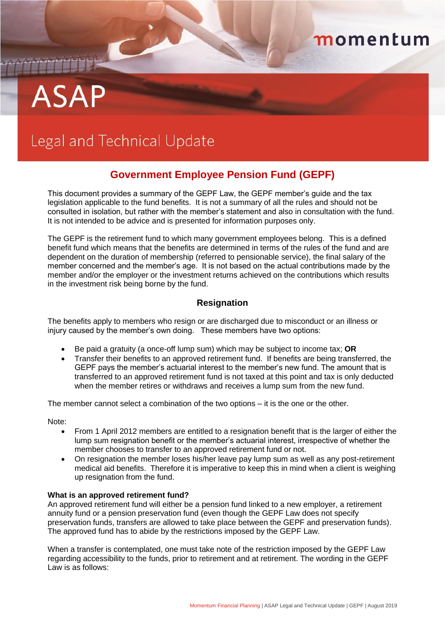# **ASAP**

## Legal and Technical Update

### **Government Employee Pension Fund (GEPF)**

momentum

This document provides a summary of the GEPF Law, the GEPF member's guide and the tax legislation applicable to the fund benefits. It is not a summary of all the rules and should not be consulted in isolation, but rather with the member's statement and also in consultation with the fund. It is not intended to be advice and is presented for information purposes only.

The GEPF is the retirement fund to which many government employees belong. This is a defined benefit fund which means that the benefits are determined in terms of the rules of the fund and are dependent on the duration of membership (referred to pensionable service), the final salary of the member concerned and the member's age. It is not based on the actual contributions made by the member and/or the employer or the investment returns achieved on the contributions which results in the investment risk being borne by the fund.

#### **Resignation**

The benefits apply to members who resign or are discharged due to misconduct or an illness or injury caused by the member's own doing. These members have two options:

- Be paid a gratuity (a once-off lump sum) which may be subject to income tax; **OR**
- Transfer their benefits to an approved retirement fund. If benefits are being transferred, the GEPF pays the member's actuarial interest to the member's new fund. The amount that is transferred to an approved retirement fund is not taxed at this point and tax is only deducted when the member retires or withdraws and receives a lump sum from the new fund.

The member cannot select a combination of the two options – it is the one or the other.

Note:

- From 1 April 2012 members are entitled to a resignation benefit that is the larger of either the lump sum resignation benefit or the member's actuarial interest, irrespective of whether the member chooses to transfer to an approved retirement fund or not.
- On resignation the member loses his/her leave pay lump sum as well as any post-retirement medical aid benefits. Therefore it is imperative to keep this in mind when a client is weighing up resignation from the fund.

#### **What is an approved retirement fund?**

An approved retirement fund will either be a pension fund linked to a new employer, a retirement annuity fund or a pension preservation fund (even though the GEPF Law does not specify preservation funds, transfers are allowed to take place between the GEPF and preservation funds). The approved fund has to abide by the restrictions imposed by the GEPF Law.

When a transfer is contemplated, one must take note of the restriction imposed by the GEPF Law regarding accessibility to the funds, prior to retirement and at retirement. The wording in the GEPF Law is as follows: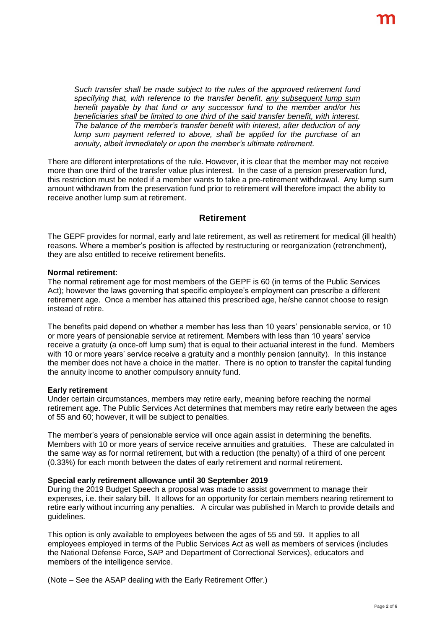*Such transfer shall be made subject to the rules of the approved retirement fund specifying that, with reference to the transfer benefit, any subsequent lump sum benefit payable by that fund or any successor fund to the member and/or his beneficiaries shall be limited to one third of the said transfer benefit, with interest. The balance of the member's transfer benefit with interest, after deduction of any lump sum payment referred to above, shall be applied for the purchase of an annuity, albeit immediately or upon the member's ultimate retirement.*

There are different interpretations of the rule. However, it is clear that the member may not receive more than one third of the transfer value plus interest. In the case of a pension preservation fund, this restriction must be noted if a member wants to take a pre-retirement withdrawal. Any lump sum amount withdrawn from the preservation fund prior to retirement will therefore impact the ability to receive another lump sum at retirement.

#### **Retirement**

The GEPF provides for normal, early and late retirement, as well as retirement for medical (ill health) reasons. Where a member's position is affected by restructuring or reorganization (retrenchment), they are also entitled to receive retirement benefits.

#### **Normal retirement**:

The normal retirement age for most members of the GEPF is 60 (in terms of the Public Services Act); however the laws governing that specific employee's employment can prescribe a different retirement age. Once a member has attained this prescribed age, he/she cannot choose to resign instead of retire.

The benefits paid depend on whether a member has less than 10 years' pensionable service, or 10 or more years of pensionable service at retirement. Members with less than 10 years' service receive a gratuity (a once-off lump sum) that is equal to their actuarial interest in the fund. Members with 10 or more years' service receive a gratuity and a monthly pension (annuity). In this instance the member does not have a choice in the matter. There is no option to transfer the capital funding the annuity income to another compulsory annuity fund.

#### **Early retirement**

Under certain circumstances, members may retire early, meaning before reaching the normal retirement age. The Public Services Act determines that members may retire early between the ages of 55 and 60; however, it will be subject to penalties.

The member's years of pensionable service will once again assist in determining the benefits. Members with 10 or more years of service receive annuities and gratuities. These are calculated in the same way as for normal retirement, but with a reduction (the penalty) of a third of one percent (0.33%) for each month between the dates of early retirement and normal retirement.

#### **Special early retirement allowance until 30 September 2019**

During the 2019 Budget Speech a proposal was made to assist government to manage their expenses, i.e. their salary bill. It allows for an opportunity for certain members nearing retirement to retire early without incurring any penalties. A circular was published in March to provide details and guidelines.

This option is only available to employees between the ages of 55 and 59. It applies to all employees employed in terms of the Public Services Act as well as members of services (includes the National Defense Force, SAP and Department of Correctional Services), educators and members of the intelligence service.

(Note – See the ASAP dealing with the Early Retirement Offer.)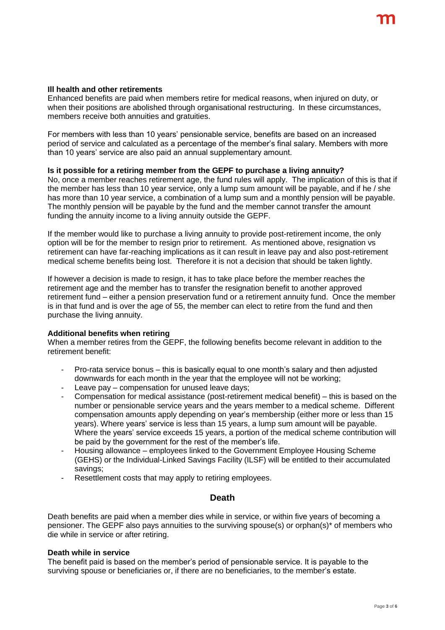#### **Ill health and other retirements**

Enhanced benefits are paid when members retire for medical reasons, when injured on duty, or when their positions are abolished through organisational restructuring. In these circumstances, members receive both annuities and gratuities.

For members with less than 10 years' pensionable service, benefits are based on an increased period of service and calculated as a percentage of the member's final salary. Members with more than 10 years' service are also paid an annual supplementary amount.

#### **Is it possible for a retiring member from the GEPF to purchase a living annuity?**

No, once a member reaches retirement age, the fund rules will apply. The implication of this is that if the member has less than 10 year service, only a lump sum amount will be payable, and if he / she has more than 10 year service, a combination of a lump sum and a monthly pension will be payable. The monthly pension will be payable by the fund and the member cannot transfer the amount funding the annuity income to a living annuity outside the GEPF.

If the member would like to purchase a living annuity to provide post-retirement income, the only option will be for the member to resign prior to retirement. As mentioned above, resignation vs retirement can have far-reaching implications as it can result in leave pay and also post-retirement medical scheme benefits being lost. Therefore it is not a decision that should be taken lightly.

If however a decision is made to resign, it has to take place before the member reaches the retirement age and the member has to transfer the resignation benefit to another approved retirement fund – either a pension preservation fund or a retirement annuity fund. Once the member is in that fund and is over the age of 55, the member can elect to retire from the fund and then purchase the living annuity.

#### **Additional benefits when retiring**

When a member retires from the GEPF, the following benefits become relevant in addition to the retirement benefit:

- Pro-rata service bonus this is basically equal to one month's salary and then adjusted downwards for each month in the year that the employee will not be working;
- Leave pay compensation for unused leave days;
- Compensation for medical assistance (post-retirement medical benefit) this is based on the number or pensionable service years and the years member to a medical scheme. Different compensation amounts apply depending on year's membership (either more or less than 15 years). Where years' service is less than 15 years, a lump sum amount will be payable. Where the years' service exceeds 15 years, a portion of the medical scheme contribution will be paid by the government for the rest of the member's life.
- Housing allowance employees linked to the Government Employee Housing Scheme (GEHS) or the Individual-Linked Savings Facility (ILSF) will be entitled to their accumulated savings;
- Resettlement costs that may apply to retiring employees.

#### **Death**

Death benefits are paid when a member dies while in service, or within five years of becoming a pensioner. The GEPF also pays annuities to the surviving spouse(s) or orphan(s)\* of members who die while in service or after retiring.

#### **Death while in service**

The benefit paid is based on the member's period of pensionable service. It is payable to the surviving spouse or beneficiaries or, if there are no beneficiaries, to the member's estate.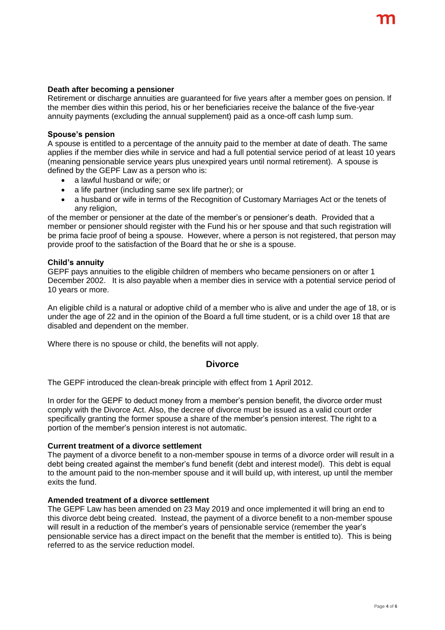Retirement or discharge annuities are guaranteed for five years after a member goes on pension. If the member dies within this period, his or her beneficiaries receive the balance of the five-year annuity payments (excluding the annual supplement) paid as a once-off cash lump sum.

#### **Spouse's pension**

A spouse is entitled to a percentage of the annuity paid to the member at date of death. The same applies if the member dies while in service and had a full potential service period of at least 10 years (meaning pensionable service years plus unexpired years until normal retirement). A spouse is defined by the GEPF Law as a person who is:

- a lawful husband or wife; or
- a life partner (including same sex life partner); or
- a husband or wife in terms of the Recognition of Customary Marriages Act or the tenets of any religion.

of the member or pensioner at the date of the member's or pensioner's death. Provided that a member or pensioner should register with the Fund his or her spouse and that such registration will be prima facie proof of being a spouse. However, where a person is not registered, that person may provide proof to the satisfaction of the Board that he or she is a spouse.

#### **Child's annuity**

GEPF pays annuities to the eligible children of members who became pensioners on or after 1 December 2002. It is also payable when a member dies in service with a potential service period of 10 years or more.

An eligible child is a natural or adoptive child of a member who is alive and under the age of 18, or is under the age of 22 and in the opinion of the Board a full time student, or is a child over 18 that are disabled and dependent on the member.

Where there is no spouse or child, the benefits will not apply.

#### **Divorce**

The GEPF introduced the clean-break principle with effect from 1 April 2012.

In order for the GEPF to deduct money from a member's pension benefit, the divorce order must comply with the Divorce Act. Also, the decree of divorce must be issued as a valid court order specifically granting the former spouse a share of the member's pension interest. The right to a portion of the member's pension interest is not automatic.

#### **Current treatment of a divorce settlement**

The payment of a divorce benefit to a non-member spouse in terms of a divorce order will result in a debt being created against the member's fund benefit (debt and interest model). This debt is equal to the amount paid to the non-member spouse and it will build up, with interest, up until the member exits the fund.

#### **Amended treatment of a divorce settlement**

The GEPF Law has been amended on 23 May 2019 and once implemented it will bring an end to this divorce debt being created. Instead, the payment of a divorce benefit to a non-member spouse will result in a reduction of the member's years of pensionable service (remember the year's pensionable service has a direct impact on the benefit that the member is entitled to). This is being referred to as the service reduction model.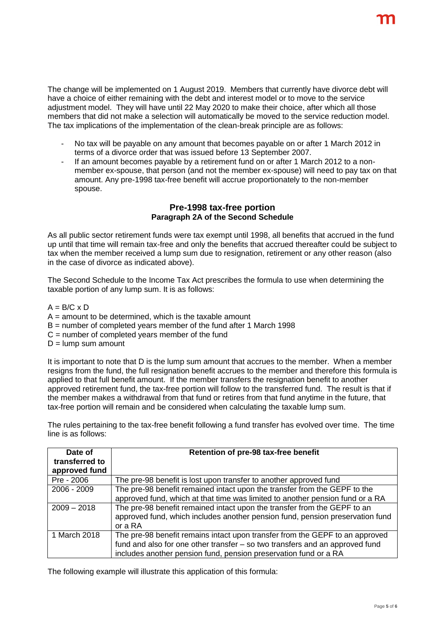The change will be implemented on 1 August 2019. Members that currently have divorce debt will have a choice of either remaining with the debt and interest model or to move to the service adjustment model. They will have until 22 May 2020 to make their choice, after which all those members that did not make a selection will automatically be moved to the service reduction model. The tax implications of the implementation of the clean-break principle are as follows:

- No tax will be payable on any amount that becomes payable on or after 1 March 2012 in terms of a divorce order that was issued before 13 September 2007.
- If an amount becomes payable by a retirement fund on or after 1 March 2012 to a nonmember ex-spouse, that person (and not the member ex-spouse) will need to pay tax on that amount. Any pre-1998 tax-free benefit will accrue proportionately to the non-member spouse.

#### **Pre-1998 tax-free portion Paragraph 2A of the Second Schedule**

As all public sector retirement funds were tax exempt until 1998, all benefits that accrued in the fund up until that time will remain tax-free and only the benefits that accrued thereafter could be subject to tax when the member received a lump sum due to resignation, retirement or any other reason (also in the case of divorce as indicated above).

The Second Schedule to the Income Tax Act prescribes the formula to use when determining the taxable portion of any lump sum. It is as follows:

 $A = B/C \times D$ 

- $A =$  amount to be determined, which is the taxable amount
- B = number of completed years member of the fund after 1 March 1998
- $C =$  number of completed years member of the fund
- $D =$  lump sum amount

It is important to note that D is the lump sum amount that accrues to the member. When a member resigns from the fund, the full resignation benefit accrues to the member and therefore this formula is applied to that full benefit amount. If the member transfers the resignation benefit to another approved retirement fund, the tax-free portion will follow to the transferred fund. The result is that if the member makes a withdrawal from that fund or retires from that fund anytime in the future, that tax-free portion will remain and be considered when calculating the taxable lump sum.

The rules pertaining to the tax-free benefit following a fund transfer has evolved over time. The time line is as follows:

| Date of<br>transferred to<br>approved fund | Retention of pre-98 tax-free benefit                                                                                                                                                                                             |
|--------------------------------------------|----------------------------------------------------------------------------------------------------------------------------------------------------------------------------------------------------------------------------------|
| Pre - 2006                                 | The pre-98 benefit is lost upon transfer to another approved fund                                                                                                                                                                |
| $2006 - 2009$                              | The pre-98 benefit remained intact upon the transfer from the GEPF to the<br>approved fund, which at that time was limited to another pension fund or a RA                                                                       |
| $2009 - 2018$                              | The pre-98 benefit remained intact upon the transfer from the GEPF to an<br>approved fund, which includes another pension fund, pension preservation fund<br>or a RA                                                             |
| 1 March 2018                               | The pre-98 benefit remains intact upon transfer from the GEPF to an approved<br>fund and also for one other transfer – so two transfers and an approved fund<br>includes another pension fund, pension preservation fund or a RA |

The following example will illustrate this application of this formula: